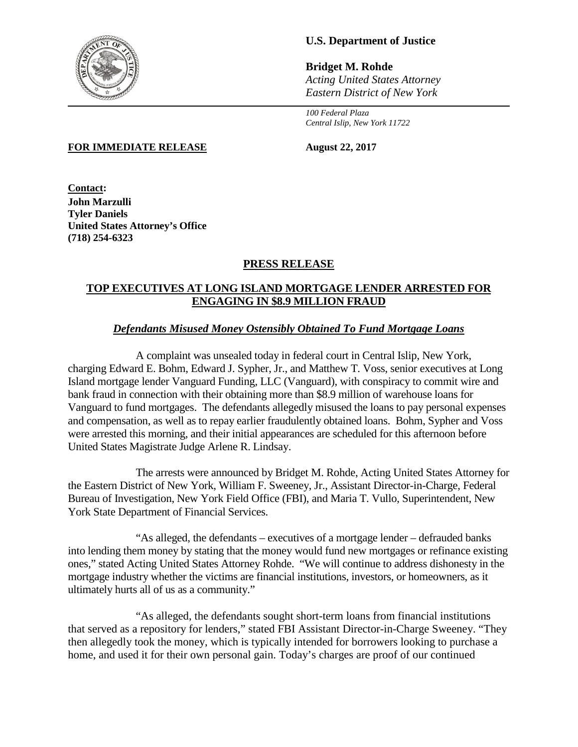

# **U.S. Department of Justice**

**Bridget M. Rohde** *Acting United States Attorney Eastern District of New York*

*100 Federal Plaza Central Islip, New York 11722*

**FOR IMMEDIATE RELEASE August 22, 2017**

**Contact: John Marzulli Tyler Daniels United States Attorney's Office (718) 254-6323**

## **PRESS RELEASE**

### **TOP EXECUTIVES AT LONG ISLAND MORTGAGE LENDER ARRESTED FOR ENGAGING IN \$8.9 MILLION FRAUD**

## *Defendants Misused Money Ostensibly Obtained To Fund Mortgage Loans*

A complaint was unsealed today in federal court in Central Islip, New York, charging Edward E. Bohm, Edward J. Sypher, Jr., and Matthew T. Voss, senior executives at Long Island mortgage lender Vanguard Funding, LLC (Vanguard), with conspiracy to commit wire and bank fraud in connection with their obtaining more than \$8.9 million of warehouse loans for Vanguard to fund mortgages. The defendants allegedly misused the loans to pay personal expenses and compensation, as well as to repay earlier fraudulently obtained loans. Bohm, Sypher and Voss were arrested this morning, and their initial appearances are scheduled for this afternoon before United States Magistrate Judge Arlene R. Lindsay.

The arrests were announced by Bridget M. Rohde, Acting United States Attorney for the Eastern District of New York, William F. Sweeney, Jr., Assistant Director-in-Charge, Federal Bureau of Investigation, New York Field Office (FBI), and Maria T. Vullo, Superintendent, New York State Department of Financial Services.

"As alleged, the defendants – executives of a mortgage lender – defrauded banks into lending them money by stating that the money would fund new mortgages or refinance existing ones," stated Acting United States Attorney Rohde. "We will continue to address dishonesty in the mortgage industry whether the victims are financial institutions, investors, or homeowners, as it ultimately hurts all of us as a community."

"As alleged, the defendants sought short-term loans from financial institutions that served as a repository for lenders," stated FBI Assistant Director-in-Charge Sweeney. "They then allegedly took the money, which is typically intended for borrowers looking to purchase a home, and used it for their own personal gain. Today's charges are proof of our continued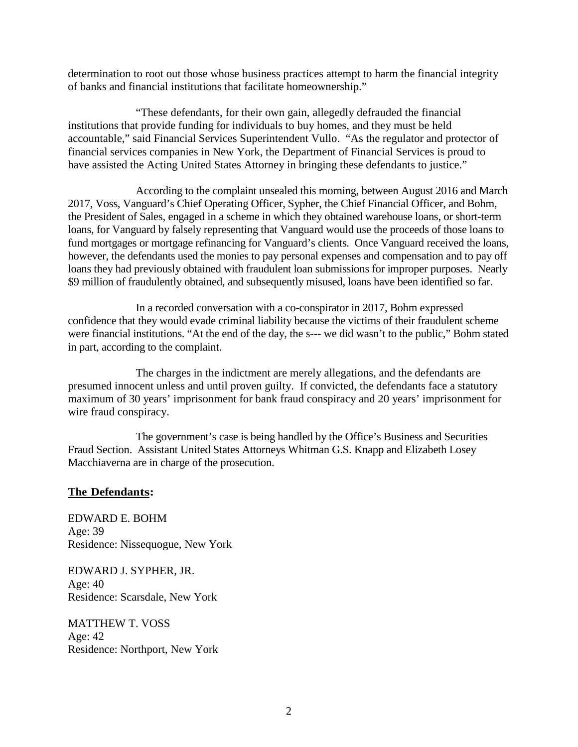determination to root out those whose business practices attempt to harm the financial integrity of banks and financial institutions that facilitate homeownership."

"These defendants, for their own gain, allegedly defrauded the financial institutions that provide funding for individuals to buy homes, and they must be held accountable," said Financial Services Superintendent Vullo. "As the regulator and protector of financial services companies in New York, the Department of Financial Services is proud to have assisted the Acting United States Attorney in bringing these defendants to justice."

According to the complaint unsealed this morning, between August 2016 and March 2017, Voss, Vanguard's Chief Operating Officer, Sypher, the Chief Financial Officer, and Bohm, the President of Sales, engaged in a scheme in which they obtained warehouse loans, or short-term loans, for Vanguard by falsely representing that Vanguard would use the proceeds of those loans to fund mortgages or mortgage refinancing for Vanguard's clients. Once Vanguard received the loans, however, the defendants used the monies to pay personal expenses and compensation and to pay off loans they had previously obtained with fraudulent loan submissions for improper purposes. Nearly \$9 million of fraudulently obtained, and subsequently misused, loans have been identified so far.

In a recorded conversation with a co-conspirator in 2017, Bohm expressed confidence that they would evade criminal liability because the victims of their fraudulent scheme were financial institutions. "At the end of the day, the s--- we did wasn't to the public," Bohm stated in part, according to the complaint.

The charges in the indictment are merely allegations, and the defendants are presumed innocent unless and until proven guilty. If convicted, the defendants face a statutory maximum of 30 years' imprisonment for bank fraud conspiracy and 20 years' imprisonment for wire fraud conspiracy.

The government's case is being handled by the Office's Business and Securities Fraud Section. Assistant United States Attorneys Whitman G.S. Knapp and Elizabeth Losey Macchiaverna are in charge of the prosecution.

#### **The Defendants:**

EDWARD E. BOHM Age: 39 Residence: Nissequogue, New York

EDWARD J. SYPHER, JR. Age: 40 Residence: Scarsdale, New York

MATTHEW T. VOSS Age: 42 Residence: Northport, New York